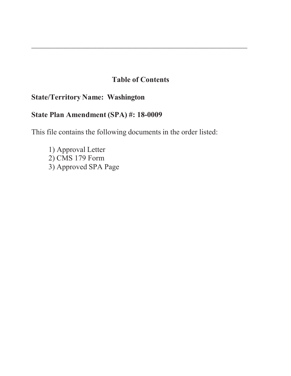# **Table of Contents**

\_\_\_\_\_\_\_\_\_\_\_\_\_\_\_\_\_\_\_\_\_\_\_\_\_\_\_\_\_\_\_\_\_\_\_\_\_\_\_\_\_\_\_\_\_\_\_\_\_\_\_\_\_\_\_\_\_\_\_\_\_\_\_\_\_\_\_\_\_\_\_\_\_\_\_\_\_\_\_\_\_\_\_

# **State/Territory Name: Washington**

# **State Plan Amendment (SPA) #: 18-0009**

This file contains the following documents in the order listed:

1) Approval Letter 2) CMS 179 Form 3) Approved SPA Page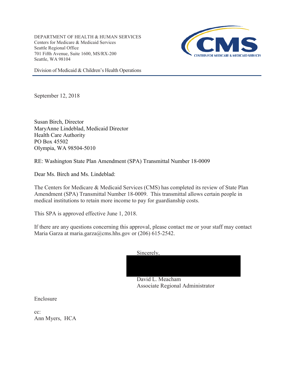DEPARTMENT OF HEALTH & HUMAN SERVICES Centers for Medicare & Medicaid Services Seattle Regional Office 701 Fifth Avenue, Suite 1600, MS/RX-200 Seattle, WA 98104



Division of Medicaid & Children's Health Operations

September 12, 2018

Susan Birch, Director MaryAnne Lindeblad, Medicaid Director Health Care Authority PO Box 45502 Olympia, WA 98504-5010

RE: Washington State Plan Amendment (SPA) Transmittal Number 18-0009

Dear Ms. Birch and Ms. Lindeblad:

The Centers for Medicare & Medicaid Services (CMS) has completed its review of State Plan Amendment (SPA) Transmittal Number 18-0009. This transmittal allows certain people in medical institutions to retain more income to pay for guardianship costs.

This SPA is approved effective June 1, 2018.

If there are any questions concerning this approval, please contact me or your staff may contact Maria Garza at maria.garza@cms.hhs.gov or (206) 615-2542.

Sincerely,



Associate Regional Administrator

Enclosure

cc: Ann Myers, HCA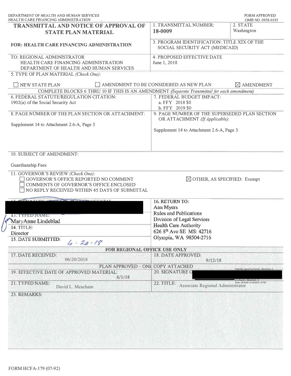| DEPARTMENT OF HEALTH AND HUMAN SERVICES<br>HEALTH CARE FINANCING ADMINISTRATION                                                  |                                                                               | OMB NO. 0938-0193                                      |
|----------------------------------------------------------------------------------------------------------------------------------|-------------------------------------------------------------------------------|--------------------------------------------------------|
| <b>TRANSMITTAL AND NOTICE OF APPROVAL OF</b><br><b>STATE PLAN MATERIAL</b>                                                       | 1. TRANSMITTAL NUMBER:<br>18-0009                                             | 2. STATE<br>Washington                                 |
| <b>FOR: HEALTH CARE FINANCING ADMINISTRATION</b>                                                                                 | 3. PROGRAM IDENTIFICATION: TITLE XIX OF THE<br>SOCIAL SECURITY ACT (MEDICAID) |                                                        |
| TO: REGIONAL ADMINISTRATOR<br>HEALTH CARE FINANCING ADMINISTRATION<br>DEPARTMENT OF HEALTH AND HUMAN SERVICES                    | <b>4. PROPOSED EFFECTIVE DATE</b><br>June 1, 2018                             |                                                        |
| 5. TYPE OF PLAN MATERIAL (Check One):                                                                                            |                                                                               |                                                        |
| <b>NEW STATE PLAN</b>                                                                                                            | AMENDMENT TO BE CONSIDERED AS NEW PLAN                                        | $\boxtimes$ AMENDMENT                                  |
| COMPLETE BLOCKS 6 THRU 10 IF THIS IS AN AMENDMENT (Separate Transmittal for each amendment)                                      |                                                                               |                                                        |
| 6. FEDERAL STATUTE/REGULATION CITATION:                                                                                          | 7. FEDERAL BUDGET IMPACT:                                                     |                                                        |
| 1902(a) of the Social Security Act                                                                                               | a. FFY 2018 \$0                                                               |                                                        |
| 8. PAGE NUMBER OF THE PLAN SECTION OR ATTACHMENT:                                                                                | $b. FFY_2019$0$<br>9. PAGE NUMBER OF THE SUPERSEDED PLAN SECTION              |                                                        |
|                                                                                                                                  | OR ATTACHMENT (If Applicable):                                                |                                                        |
| Supplement 14 to Attachment 2.6-A, Page 3                                                                                        |                                                                               |                                                        |
|                                                                                                                                  | Supplement 14 to Attachment 2.6-A, Page 3                                     |                                                        |
|                                                                                                                                  |                                                                               |                                                        |
| 10. SUBJECT OF AMENDMENT:                                                                                                        |                                                                               |                                                        |
| Guardianship Fees                                                                                                                |                                                                               |                                                        |
| 11. GOVERNOR'S REVIEW (Check One):                                                                                               |                                                                               |                                                        |
| GOVERNOR'S OFFICE REPORTED NO COMMENT<br>COMMENTS OF GOVERNOR'S OFFICE ENCLOSED<br>NO REPLY RECEIVED WITHIN 45 DAYS OF SUBMITTAL | $\boxtimes$ OTHER, AS SPECIFIED: Exempt                                       |                                                        |
|                                                                                                                                  |                                                                               |                                                        |
|                                                                                                                                  | 16. RETURN TO:                                                                |                                                        |
|                                                                                                                                  | Ann Myers                                                                     |                                                        |
| 13. TYPED NAME:                                                                                                                  | <b>Rules and Publications</b>                                                 |                                                        |
| MaryAnne Lindeblad                                                                                                               | Division of Legal Services                                                    |                                                        |
| 14. TITLE:                                                                                                                       | <b>Health Care Authority</b>                                                  |                                                        |
| Director                                                                                                                         | 626 8th Ave SE MS: 42716                                                      |                                                        |
| 15. DATE SUBMITTED:<br>$6 - 20 - 18$                                                                                             | Olympia, WA 98504-2716                                                        |                                                        |
| <b>FOR REGIONAL OFFICE USE ONLY</b>                                                                                              |                                                                               |                                                        |
| 17. DATE RECEIVED:                                                                                                               | 18. DATE APPROVED:                                                            |                                                        |
| 06/20/2018                                                                                                                       | 9/12/18                                                                       |                                                        |
| PLAN APPROVED - ONE COPY ATTACHED                                                                                                |                                                                               | Digitally signed by David L. Meacham-                  |
| 19. EFFECTIVE DATE OF APPROVED MATERIAL:<br>6/1/18                                                                               | 20. SIGNATURE O                                                               |                                                        |
| 21. TYPED NAME:<br>David L. Meacham                                                                                              | 22. TITLE:<br>Associate Regional Administrator                                | -David L. Meacham<br>Date: 2018.09.13 09:30:55 -07'00' |
|                                                                                                                                  |                                                                               |                                                        |
| 23. REMARKS:                                                                                                                     |                                                                               |                                                        |
|                                                                                                                                  |                                                                               |                                                        |
|                                                                                                                                  |                                                                               |                                                        |
|                                                                                                                                  |                                                                               |                                                        |
|                                                                                                                                  |                                                                               |                                                        |
|                                                                                                                                  |                                                                               |                                                        |